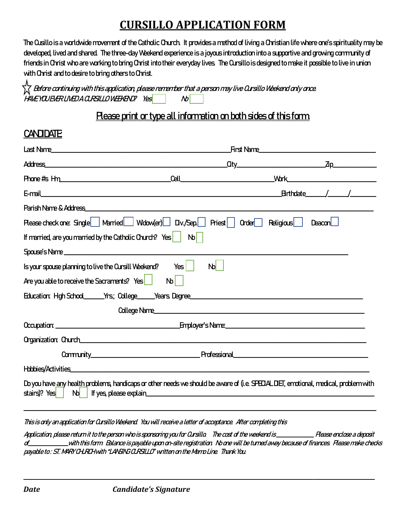# **CURSILLO APPLICATION FORM**

The Cusillo is a worldwide movement of the Catholic Church. It provides a method of living a Christian life where one's spirituality may be developed, lived and shared. The three-day Weekend experience is a joyous introduction into a supportive and growing community of friends in Christ who are working to bring Christ into their everyday lives. The Cursillo is designed to make it possible to live in union with Christ and to desire to bring others to Christ.

 Before continuing with this application, please remember that a person may live Cursillo Weekend only once. were a current a construction of the set of the Mondow of the Mondown of the Mondown Set of the Mondown of the Mondown Set of the Mondown of the Mondown Set of the Mondown Set of the Mondown Set of the Mondown Set of the M

#### Please print or type all information on both sides of this form.

#### **CANDIDATE**

|                                                                        | Last Name <b>contract the contract of the contract of the contract of the contract of the contract of the contract of the contract of the contract of the contract of the contract of the contract of the contract of the contra</b> | First Name |                                              |
|------------------------------------------------------------------------|--------------------------------------------------------------------------------------------------------------------------------------------------------------------------------------------------------------------------------------|------------|----------------------------------------------|
|                                                                        |                                                                                                                                                                                                                                      |            |                                              |
|                                                                        |                                                                                                                                                                                                                                      |            | <u> Work _______________________________</u> |
|                                                                        |                                                                                                                                                                                                                                      |            | Birthdate / /                                |
|                                                                        |                                                                                                                                                                                                                                      |            |                                              |
|                                                                        | Rease check one: Single   Married   Widow(er)   Div./Sep   Riest   Order Religious                                                                                                                                                   |            | Deacon l                                     |
| If married, are you married by the Catholic Church? Yes                | $N_0$                                                                                                                                                                                                                                |            |                                              |
|                                                                        | Spouse's Name                                                                                                                                                                                                                        |            |                                              |
| $\frac{1}{2}$ Is your spouse planning to live the Cursill Weekend? Yes | N <sub>b</sub>                                                                                                                                                                                                                       |            |                                              |
| Are you able to receive the Sacraments? Yes                            | $N_0$                                                                                                                                                                                                                                |            |                                              |
|                                                                        |                                                                                                                                                                                                                                      |            |                                              |
|                                                                        | College Name                                                                                                                                                                                                                         |            |                                              |
|                                                                        |                                                                                                                                                                                                                                      |            |                                              |
|                                                                        |                                                                                                                                                                                                                                      |            |                                              |
|                                                                        |                                                                                                                                                                                                                                      |            |                                              |
|                                                                        |                                                                                                                                                                                                                                      |            |                                              |
|                                                                        | Do you have any health problems, handicaps or other needs we should be aware of (i.e. SPECIAL DIET, emotional, medical, problem with                                                                                                 |            |                                              |
|                                                                        |                                                                                                                                                                                                                                      |            |                                              |

This is only an application for Cursillo Weekend. You will receive a letter of acceptance. After completing this

Application, please return it to the person who is sponsoring you for Cursillo. The cost of the weekend is \_\_\_\_\_\_\_\_\_\_\_\_\_\_\_\_ Please enclose a deposit of\_\_\_\_\_\_\_\_\_\_\_\_\_\_\_\_\_with this form. Balance is payable upon on-site registration. No one will be turned away because of finances. Please make checks payable to: ST. MARY CH.RCH with "LANSING CLRSILLO" written on the Memo Line. Thank You.

\_\_\_\_\_\_\_\_\_\_\_\_\_\_\_\_\_\_\_\_\_\_\_\_\_\_\_\_\_\_\_\_\_\_\_\_\_\_\_\_\_\_\_\_\_\_\_\_\_\_\_\_\_\_\_\_\_\_\_\_\_\_\_\_\_\_\_\_\_\_\_\_\_\_\_\_\_\_\_\_\_\_\_\_\_\_\_\_\_\_\_\_\_\_\_\_\_\_\_\_\_\_\_\_\_\_\_\_\_\_\_\_\_\_\_\_\_\_\_\_\_\_\_\_\_\_\_\_\_\_\_\_\_\_\_\_\_\_\_\_\_\_\_\_\_\_\_\_\_\_\_